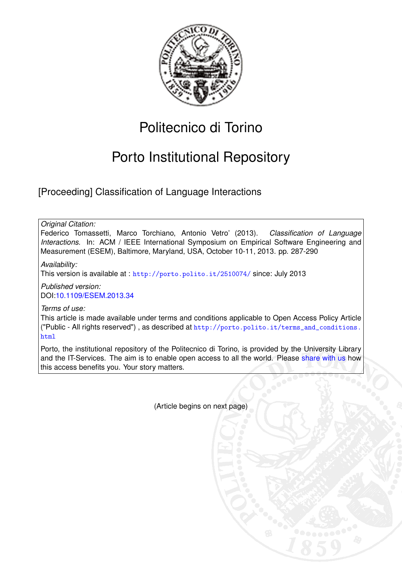

# Politecnico di Torino

# Porto Institutional Repository

[Proceeding] Classification of Language Interactions

*Original Citation:*

Federico Tomassetti, Marco Torchiano, Antonio Vetro' (2013). *Classification of Language Interactions.* In: ACM / IEEE International Symposium on Empirical Software Engineering and Measurement (ESEM), Baltimore, Maryland, USA, October 10-11, 2013. pp. 287-290

*Availability:*

This version is available at : <http://porto.polito.it/2510074/> since: July 2013

*Published version:* DOI[:10.1109/ESEM.2013.34](http://dx.doi.org.ezproxy.biblio.polito.it/10.1109/ESEM.2013.34)

*Terms of use:*

This article is made available under terms and conditions applicable to Open Access Policy Article ("Public - All rights reserved") , as described at [http://porto.polito.it/terms\\_and\\_conditions.](http://porto.polito.it/terms_and_conditions.html) [html](http://porto.polito.it/terms_and_conditions.html)

Porto, the institutional repository of the Politecnico di Torino, is provided by the University Library and the IT-Services. The aim is to enable open access to all the world. Please [share with us](http://porto.polito.it/cgi/set_lang?lang=en&referrer=http://porto.polito.it/cgi/share?eprint=2510074) how this access benefits you. Your story matters.

(Article begins on next page)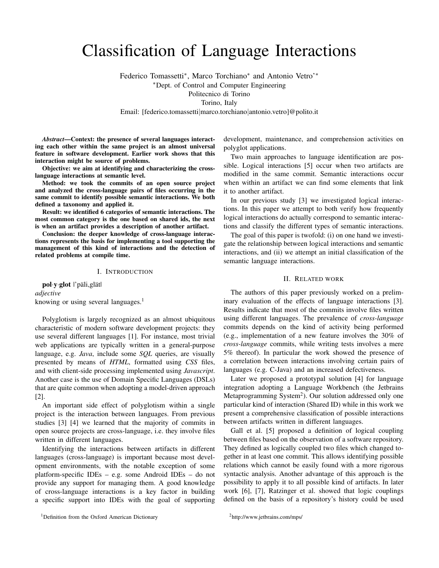# Classification of Language Interactions

Federico Tomassetti<sup>∗</sup> , Marco Torchiano<sup>∗</sup> and Antonio Vetro'<sup>∗</sup>

<sup>∗</sup>Dept. of Control and Computer Engineering

Politecnico di Torino

Torino, Italy

Email: [federico.tomassetti|marco.torchiano|antonio.vetro]@polito.it

*Abstract*—Context: the presence of several languages interacting each other within the same project is an almost universal feature in software development. Earlier work shows that this interaction might be source of problems.

Objective: we aim at identifying and characterizing the crosslanguage interactions at semantic level.

Method: we took the commits of an open source project and analyzed the cross-language pairs of files occurring in the same commit to identify possible semantic interactions. We both defined a taxonomy and applied it.

Result: we identified 6 categories of semantic interactions. The most common category is the one based on shared ids, the next is when an artifact provides a description of another artifact.

Conclusion: the deeper knowledge of cross-language interactions represents the basis for implementing a tool supporting the management of this kind of interactions and the detection of related problems at compile time.

### I. INTRODUCTION

pol·y·glot |'päli,glät| *adjective* knowing or using several languages. $<sup>1</sup>$ </sup>

Polyglotism is largely recognized as an almost ubiquitous characteristic of modern software development projects: they use several different languages [1]. For instance, most trivial web applications are typically written in a general-purpose language, e.g. *Java*, include some *SQL* queries, are visually presented by means of *HTML*, formatted using *CSS* files, and with client-side processing implemented using *Javascript*. Another case is the use of Domain Specific Languages (DSLs) that are quite common when adopting a model-driven approach [2].

An important side effect of polyglotism within a single project is the interaction between languages. From previous studies [3] [4] we learned that the majority of commits in open source projects are cross-language, i.e. they involve files written in different languages.

Identifying the interactions between artifacts in different languages (cross-language) is important because most development environments, with the notable exception of some platform-specific IDEs – e.g. some Android IDEs – do not provide any support for managing them. A good knowledge of cross-language interactions is a key factor in building a specific support into IDEs with the goal of supporting development, maintenance, and comprehension activities on polyglot applications.

Two main approaches to language identification are possible. Logical interactions [5] occur when two artifacts are modified in the same commit. Semantic interactions occur when within an artifact we can find some elements that link it to another artifact.

In our previous study [3] we investigated logical interactions. In this paper we attempt to both verify how frequently logical interactions do actually correspond to semantic interactions and classify the different types of semantic interactions.

The goal of this paper is twofold: (i) on one hand we investigate the relationship between logical interactions and semantic interactions, and (ii) we attempt an initial classification of the semantic language interactions.

# II. RELATED WORK

The authors of this paper previously worked on a preliminary evaluation of the effects of language interactions [3]. Results indicate that most of the commits involve files written using different languages. The prevalence of *cross-language* commits depends on the kind of activity being performed (e.g., implementation of a new feature involves the 30% of *cross-language* commits, while writing tests involves a mere 5% thereof). In particular the work showed the presence of a correlation between interactions involving certain pairs of languages (e.g. C-Java) and an increased defectiveness.

Later we proposed a prototypal solution [4] for language integration adopting a Language Workbench (the Jetbrains Metaprogramming System<sup>2</sup>). Our solution addressed only one particular kind of interaction (Shared ID) while in this work we present a comprehensive classification of possible interactions between artifacts written in different languages.

Gall et al. [5] proposed a definition of logical coupling between files based on the observation of a software repository. They defined as logically coupled two files which changed together in at least one commit. This allows identifying possible relations which cannot be easily found with a more rigorous syntactic analysis. Another advantage of this approach is the possibility to apply it to all possible kind of artifacts. In later work [6], [7], Ratzinger et al. showed that logic couplings defined on the basis of a repository's history could be used

<sup>1</sup>Definition from the Oxford American Dictionary

<sup>2</sup>http://www.jetbrains.com/mps/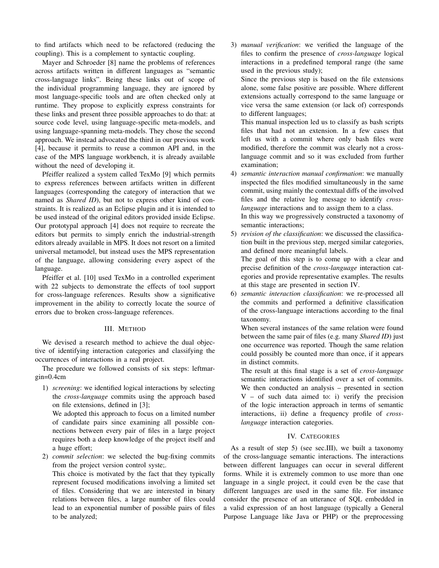to find artifacts which need to be refactored (reducing the coupling). This is a complement to syntactic coupling.

Mayer and Schroeder [8] name the problems of references across artifacts written in different languages as "semantic cross-language links". Being these links out of scope of the individual programming language, they are ignored by most language-specific tools and are often checked only at runtime. They propose to explicitly express constraints for these links and present three possible approaches to do that: at source code level, using language-specific meta-models, and using language-spanning meta-models. They chose the second approach. We instead advocated the third in our previous work [4], because it permits to reuse a common API and, in the case of the MPS language workbench, it is already available without the need of developing it.

Pfeiffer realized a system called TexMo [9] which permits to express references between artifacts written in different languages (corresponding the category of interaction that we named as *Shared ID*), but not to express other kind of constraints. It is realized as an Eclipse plugin and it is intended to be used instead of the original editors provided inside Eclipse. Our prototypal approach [4] does not require to recreate the editors but permits to simply enrich the industrial-strength editors already available in MPS. It does not resort on a limited universal metamodel, but instead uses the MPS representation of the language, allowing considering every aspect of the language.

Pfeiffer et al. [10] used TexMo in a controlled experiment with 22 subjects to demonstrate the effects of tool support for cross-language references. Results show a significative improvement in the ability to correctly locate the source of errors due to broken cross-language references.

# III. METHOD

We devised a research method to achieve the dual objective of identifying interaction categories and classifying the occurrences of interactions in a real project.

The procedure we followed consists of six steps: leftmargin=0.4cm

1) *screening*: we identified logical interactions by selecting the *cross-language* commits using the approach based on file extensions, defined in [3];

We adopted this approach to focus on a limited number of candidate pairs since examining all possible connections between every pair of files in a large project requires both a deep knowledge of the project itself and a huge effort;

2) *commit selection*: we selected the bug-fixing commits from the project version control syste;.

This choice is motivated by the fact that they typically represent focused modifications involving a limited set of files. Considering that we are interested in binary relations between files, a large number of files could lead to an exponential number of possible pairs of files to be analyzed;

3) *manual verification*: we verified the language of the files to confirm the presence of *cross-language* logical interactions in a predefined temporal range (the same used in the previous study);

Since the previous step is based on the file extensions alone, some false positive are possible. Where different extensions actually correspond to the same language or vice versa the same extension (or lack of) corresponds to different languages;

This manual inspection led us to classify as bash scripts files that had not an extension. In a few cases that left us with a commit where only bash files were modified, therefore the commit was clearly not a crosslanguage commit and so it was excluded from further examination;

4) *semantic interaction manual confirmation*: we manually inspected the files modified simultaneously in the same commit, using mainly the contextual diffs of the involved files and the relative log message to identify *crosslanguage* interactions and to assign them to a class. In this way we progressively constructed a taxonomy of semantic interactions;

5) *revision of the classification*: we discussed the classification built in the previous step, merged similar categories, and defined more meaningful labels. The goal of this step is to come up with a clear and precise definition of the *cross-language* interaction categories and provide representative examples. The results

6) *semantic interaction classification*: we re-processed all the commits and performed a definitive classification of the cross-language interactions according to the final taxonomy.

at this stage are presented in section IV.

When several instances of the same relation were found between the same pair of files (e.g. many *Shared ID*) just one occurrence was reported. Though the same relation could possibly be counted more than once, if it appears in distinct commits.

The result at this final stage is a set of *cross-language* semantic interactions identified over a set of commits. We then conducted an analysis – presented in section  $V - of such data aimed to: i) verify the precision$ of the logic interaction approach in terms of semantic interactions, ii) define a frequency profile of *crosslanguage* interaction categories.

# IV. CATEGORIES

As a result of step 5) (see sec.III), we built a taxonomy of the cross-language semantic interactions. The interactions between different languages can occur in several different forms. While it is extremely common to use more than one language in a single project, it could even be the case that different languages are used in the same file. For instance consider the presence of an utterance of SQL embedded in a valid expression of an host language (typically a General Purpose Language like Java or PHP) or the preprocessing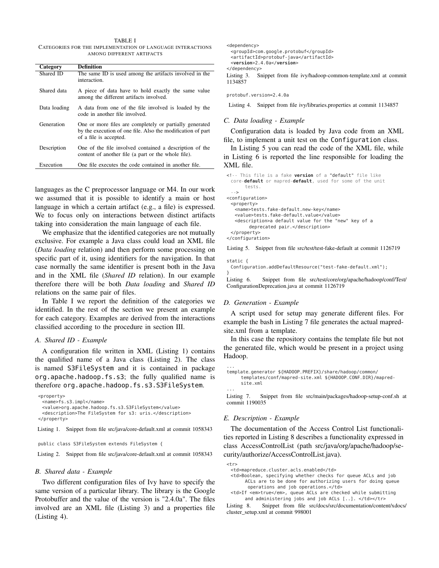#### TABLE I

CATEGORIES FOR THE IMPLEMENTATION OF LANGUAGE INTERACTIONS AMONG DIFFERENT ARTIFACTS

| Category     | <b>Definition</b>                                                                                                                                |
|--------------|--------------------------------------------------------------------------------------------------------------------------------------------------|
| Shared ID    | The same ID is used among the artifacts involved in the<br>interaction.                                                                          |
| Shared data  | A piece of data have to hold exactly the same value<br>among the different artifacts involved.                                                   |
| Data loading | A data from one of the file involved is loaded by the<br>code in another file involved.                                                          |
| Generation   | One or more files are completely or partially generated<br>by the execution of one file. Also the modification of part<br>of a file is accepted. |
| Description  | One of the file involved contained a description of the<br>content of another file (a part or the whole file).                                   |
| Execution    | One file executes the code contained in another file.                                                                                            |
|              |                                                                                                                                                  |

languages as the C preprocessor language or M4. In our work we assumed that it is possible to identify a main or host language in which a certain artifact (e.g., a file) is expressed. We to focus only on interactions between distinct artifacts taking into consideration the main language of each file.

We emphasize that the identified categories are not mutually exclusive. For example a Java class could load an XML file (*Data loading* relation) and then perform some processing on specific part of it, using identifiers for the navigation. In that case normally the same identifier is present both in the Java and in the XML file (*Shared ID* relation). In our example therefore there will be both *Data loading* and *Shared ID* relations on the same pair of files.

In Table I we report the definition of the categories we identified. In the rest of the section we present an example for each category. Examples are derived from the interactions classified according to the procedure in section III.

## *A. Shared ID - Example*

A configuration file written in XML (Listing 1) contains the qualified name of a Java class (Listing 2). The class is named S3FileSystem and it is contained in package org.apache.hadoop.fs.s3; the fully qualified name is therefore org.apache.hadoop.fs.s3.S3FileSystem.

<property> <name>fs.s3.impl</name> <value>org.apache.hadoop.fs.s3.S3FileSystem</value> <description>The FileSystem for s3: uris.</description> </property>

Listing 1. Snippet from file src/java/core-default.xml at commit 1058343

public class S3FileSystem extends FileSystem {

Listing 2. Snippet from file src/java/core-default.xml at commit 1058343

#### *B. Shared data - Example*

Two different configuration files of Ivy have to specify the same version of a particular library. The library is the Google Protobuffer and the value of the version is "2.4.0a". The files involved are an XML file (Listing 3) and a properties file (Listing 4).

<dependency>

<groupId>com.google.protobuf</groupId> <artifactId>protobuf-java</artifactId> <**version**>2.4.0a</**version**>

</dependency>

Listing 3. Snippet from file ivy/hadoop-common-template.xml at commit 1134857

protobuf.version=2.4.0a

Listing 4. Snippet from file ivy/libraries.properties at commit 1134857

#### *C. Data loading - Example*

Configuration data is loaded by Java code from an XML file, to implement a unit test on the Configuration class.

In Listing 5 you can read the code of the XML file, while in Listing 6 is reported the line responsible for loading the XML file.

```
<!-- This file is a fake version of a "default" file like
 core-default or mapred-default, used for some of the unit
      tests.
 -->
<configuration>
 <property>
   <name>tests.fake-default.new-key</name>
   <value>tests.fake-default.value</value>
   <description>a default value for the "new" key of a
       deprecated pair.</description>
 </property>
</configuration>
```
Listing 5. Snippet from file src/test/test-fake-default at commit 1126719

static { Configuration.addDefaultResource("test-fake-default.xml"); }

Listing 6. Snippet from file src/test/core/org/apache/hadoop/conf/Test/ ConfigurationDeprecation.java at commit 1126719

# *D. Generation - Example*

A script used for setup may generate different files. For example the bash in Listing 7 file generates the actual mapredsite.xml from a template.

In this case the repository contains the template file but not the generated file, which would be present in a project using Hadoop.

```
...
template_generator ${HADOOP_PREFIX}/share/hadoop/common/
     templates/conf/mapred-site.xml ${HADOOP_CONF_DIR}/mapred-
     site.xml
```
Listing 7. Snippet from file src/main/packages/hadoop-setup-conf.sh at commit 1190035

# *E. Description - Example*

The documentation of the Access Control List functionalities reported in Listing 8 describes a functionality expressed in class AccessControlList (path src/java/org/apache/hadoop/security/authorize/AccessControlList.java).

```
<tr>
```
...

- <td>mapreduce.cluster.acls.enabled</td>
- <td>Boolean, specifying whether checks for queue ACLs and job ACLs are to be done for authorizing users for doing queue operations and job operations.</td>
- <td>If <em>true</em>, queue ACLs are checked while submitting and administering jobs and job ACLs [..]. </td></tr>

Listing 8. Snippet from file src/docs/src/documentation/content/xdocs/ cluster\_setup.xml at commit 998001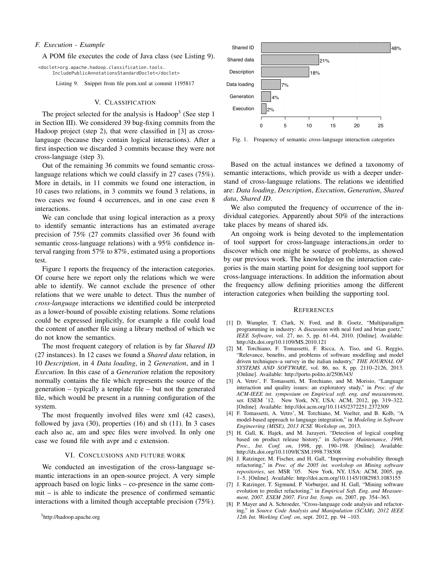# *F. Execution - Example*

A POM file executes the code of Java class (see Listing 9).

<doclet>org.apache.hadoop.classification.tools. IncludePublicAnnotationsStandardDoclet</doclet>

Listing 9. Snippet from file pom.xml at commit 1195817

# V. CLASSIFICATION

The project selected for the analysis is  $H$ adoop<sup>3</sup> (See step 1) in Section III). We considered 39 bug-fixing commits from the Hadoop project (step 2), that were classified in [3] as crosslanguage (because they contain logical interactions). After a first inspection we discarded 3 commits because they were not cross-language (step 3).

Out of the remaining 36 commits we found semantic crosslanguage relations which we could classify in 27 cases (75%). More in details, in 11 commits we found one interaction, in 10 cases two relations, in 3 commits we found 3 relations, in two cases we found 4 occurrences, and in one case even 8 interactions.

We can conclude that using logical interaction as a proxy to identify semantic interactions has an estimated average precision of 75% (27 commits classified over 36 found with semantic cross-language relations) with a 95% confidence interval ranging from 57% to 87%, estimated using a proportions test.

Figure 1 reports the frequency of the interaction categories. Of course here we report only the relations which we were able to identify. We cannot exclude the presence of other relations that we were unable to detect. Thus the number of *cross-language* interactions we identified could be interpreted as a lower-bound of possible existing relations. Some relations could be expressed implicitly, for example a file could load the content of another file using a library method of which we do not know the semantics.

The most frequent category of relation is by far *Shared ID* (27 instances). In 12 cases we found a *Shared data* relation, in 10 *Description*, in 4 *Data loading*, in 2 *Generation*, and in 1 *Execution*. In this case of a *Generation* relation the repository normally contains the file which represents the source of the generation – typically a template file – but not the generated file, which would be present in a running configuration of the system.

The most frequently involved files were xml (42 cases), followed by java (30), properties (16) and sh (11). In 3 cases each also ac, am and spec files were involved. In only one case we found file with avpr and c extension.

## VI. CONCLUSIONS AND FUTURE WORK

We conducted an investigation of the cross-language semantic interactions in an open-source project. A very simple approach based on logic links – co-presence in the same commit – is able to indicate the presence of confirmed semantic interactions with a limited though acceptable precision (75%).

<sup>3</sup>http://hadoop.apache.org



Fig. 1. Frequency of semantic cross-language interaction categories

Based on the actual instances we defined a taxonomy of semantic interactions, which provide us with a deeper understand of cross-language relations. The relations we identified are: *Data loading*, *Description*, *Execution*, *Generation*, *Shared data*, *Shared ID*.

We also computed the frequency of occurrence of the individual categories. Apparently about 50% of the interactions take places by means of shared ids.

An ongoing work is being devoted to the implementation of tool support for cross-language interactions,in order to discover which one might be source of problems, as showed by our previous work. The knowledge on the interaction categories is the main starting point for designing tool support for cross-language interactions. In addition the information about the frequency allow defining priorities among the different interaction categories when building the supporting tool.

#### **REFERENCES**

- [1] D. Wampler, T. Clark, N. Ford, and B. Goetz, "Multiparadigm programming in industry: A discussion with neal ford and brian goetz," *IEEE Software*, vol. 27, no. 5, pp. 61–64, 2010. [Online]. Available: http://dx.doi.org/10.1109/MS.2010.121
- [2] M. Torchiano, F. Tomassetti, F. Ricca, A. Tiso, and G. Reggio, "Relevance, benefits, and problems of software modelling and model driven techniques–a survey in the italian industry," *THE JOURNAL OF SYSTEMS AND SOFTWARE*, vol. 86, no. 8, pp. 2110–2126, 2013. [Online]. Available: http://porto.polito.it/2506343/
- [3] A. Vetro', F. Tomassetti, M. Torchiano, and M. Morisio, "Language interaction and quality issues: an exploratory study," in *Proc. of the ACM-IEEE int. symposium on Empirical soft. eng. and measurement*, ser. ESEM '12. New York, NY, USA: ACM, 2012, pp. 319–322. [Online]. Available: http://doi.acm.org/10.1145/2372251.2372309
- [4] F. Tomassetti, A. Vetro', M. Torchiano, M. Voelter, and B. Kolb, "A model-based approach to language integration," in *Modeling in Software Engineering (MISE), 2013 ICSE Workshop on*, 2013.
- [5] H. Gall, K. Hajek, and M. Jazayeri, "Detection of logical coupling based on product release history," in *Software Maintenance, 1998. Proc., Int. Conf. on*, 1998, pp. 190–198. [Online]. Available: http://dx.doi.org/10.1109/ICSM.1998.738508
- [6] J. Ratzinger, M. Fischer, and H. Gall, "Improving evolvability through refactoring," in *Proc. of the 2005 int. workshop on Mining software repositories*, ser. MSR '05. New York, NY, USA: ACM, 2005, pp. 1–5. [Online]. Available: http://doi.acm.org/10.1145/1082983.1083155
- [7] J. Ratzinger, T. Sigmund, P. Vorburger, and H. Gall, "Mining software evolution to predict refactoring," in *Empirical Soft. Eng. and Measurement, 2007. ESEM 2007. First Int. Symp. on*, 2007, pp. 354–363.
- [8] P. Mayer and A. Schroeder, "Cross-language code analysis and refactoring," in *Source Code Analysis and Manipulation (SCAM), 2012 IEEE 12th Int. Working Conf. on*, sept. 2012, pp. 94 –103.